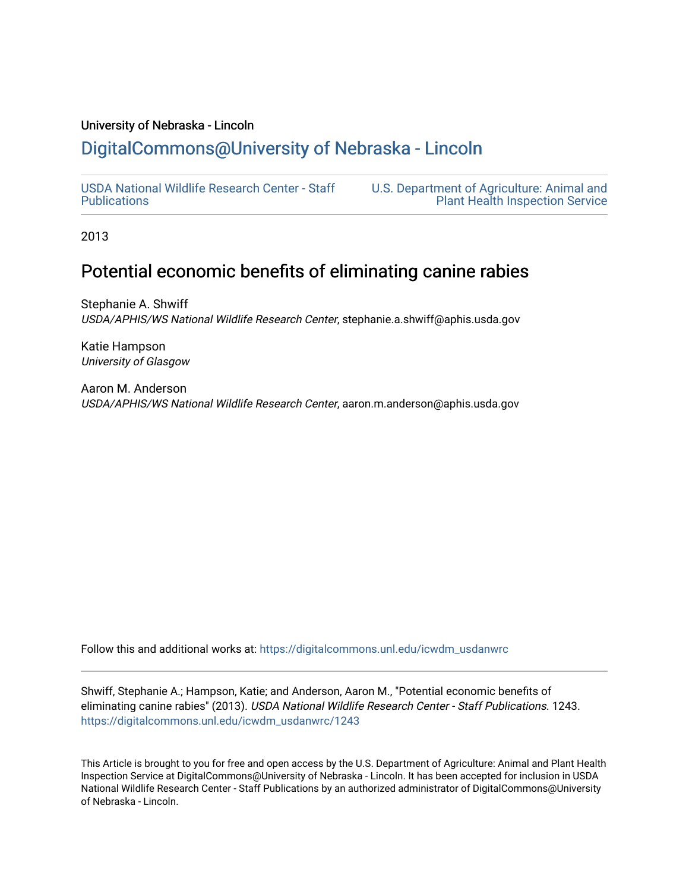### University of Nebraska - Lincoln

## [DigitalCommons@University of Nebraska - Lincoln](https://digitalcommons.unl.edu/)

[USDA National Wildlife Research Center - Staff](https://digitalcommons.unl.edu/icwdm_usdanwrc)  [Publications](https://digitalcommons.unl.edu/icwdm_usdanwrc) 

[U.S. Department of Agriculture: Animal and](https://digitalcommons.unl.edu/usdaaphis)  [Plant Health Inspection Service](https://digitalcommons.unl.edu/usdaaphis) 

2013

# Potential economic benefits of eliminating canine rabies

Stephanie A. Shwiff USDA/APHIS/WS National Wildlife Research Center, stephanie.a.shwiff@aphis.usda.gov

Katie Hampson University of Glasgow

Aaron M. Anderson USDA/APHIS/WS National Wildlife Research Center, aaron.m.anderson@aphis.usda.gov

Follow this and additional works at: [https://digitalcommons.unl.edu/icwdm\\_usdanwrc](https://digitalcommons.unl.edu/icwdm_usdanwrc?utm_source=digitalcommons.unl.edu%2Ficwdm_usdanwrc%2F1243&utm_medium=PDF&utm_campaign=PDFCoverPages)

Shwiff, Stephanie A.; Hampson, Katie; and Anderson, Aaron M., "Potential economic benefits of eliminating canine rabies" (2013). USDA National Wildlife Research Center - Staff Publications. 1243. [https://digitalcommons.unl.edu/icwdm\\_usdanwrc/1243](https://digitalcommons.unl.edu/icwdm_usdanwrc/1243?utm_source=digitalcommons.unl.edu%2Ficwdm_usdanwrc%2F1243&utm_medium=PDF&utm_campaign=PDFCoverPages) 

This Article is brought to you for free and open access by the U.S. Department of Agriculture: Animal and Plant Health Inspection Service at DigitalCommons@University of Nebraska - Lincoln. It has been accepted for inclusion in USDA National Wildlife Research Center - Staff Publications by an authorized administrator of DigitalCommons@University of Nebraska - Lincoln.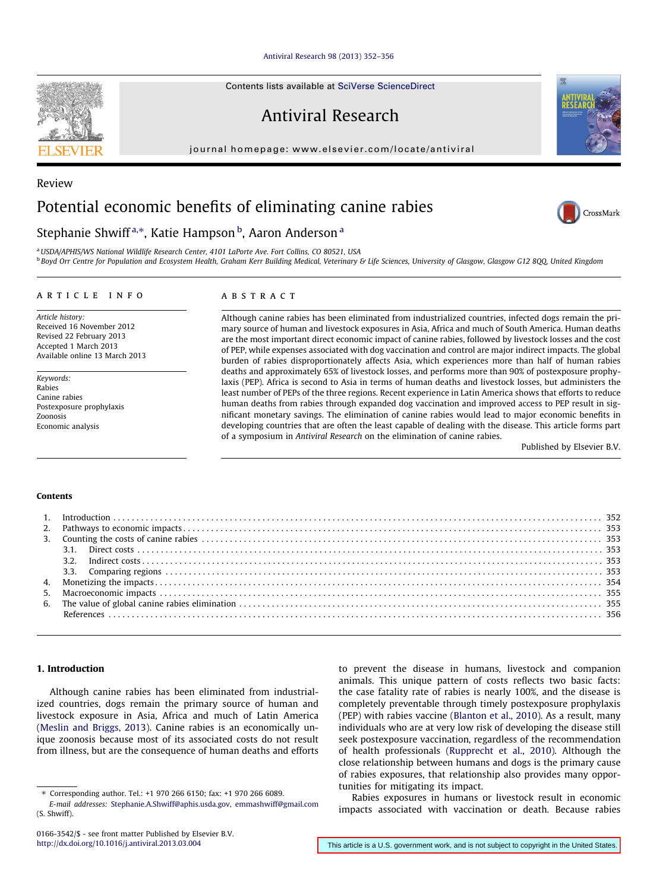[Antiviral Research 98 \(2013\) 352–356](http://dx.doi.org/10.1016/j.antiviral.2013.03.004)

Contents lists available at SciVerse ScienceDirect

Antiviral Research

journal homepage: [www.elsevier.com/locate/antiviral](http://www.elsevier.com/locate/antiviral)

# Potential economic benefits of eliminating canine rabies

## Stephanie Shwiff<sup>a,\*</sup>, Katie Hampson <sup>b</sup>, Aaron Anderson <sup>a</sup>

a USDA/APHIS/WS National Wildlife Research Center, 4101 LaPorte Ave. Fort Collins, CO 80521, USA <sup>b</sup> Boyd Orr Centre for Population and Ecosystem Health, Graham Kerr Building Medical, Veterinary & Life Sciences, University of Glasgow, Glasgow G12 800, United Kingdom

#### article info

#### **ABSTRACT**

Article history: Received 16 November 2012 Revised 22 February 2013 Accepted 1 March 2013 Available online 13 March 2013

Keywords: Rabies Canine rabies Postexposure prophylaxis Zoonosis Economic analysis

Although canine rabies has been eliminated from industrialized countries, infected dogs remain the primary source of human and livestock exposures in Asia, Africa and much of South America. Human deaths are the most important direct economic impact of canine rabies, followed by livestock losses and the cost of PEP, while expenses associated with dog vaccination and control are major indirect impacts. The global burden of rabies disproportionately affects Asia, which experiences more than half of human rabies deaths and approximately 65% of livestock losses, and performs more than 90% of postexposure prophylaxis (PEP). Africa is second to Asia in terms of human deaths and livestock losses, but administers the least number of PEPs of the three regions. Recent experience in Latin America shows that efforts to reduce human deaths from rabies through expanded dog vaccination and improved access to PEP result in significant monetary savings. The elimination of canine rabies would lead to major economic benefits in developing countries that are often the least capable of dealing with the disease. This article forms part of a symposium in Antiviral Research on the elimination of canine rabies.

Published by Elsevier B.V.

#### Contents

#### 1. Introduction

Although canine rabies has been eliminated from industrialized countries, dogs remain the primary source of human and livestock exposure in Asia, Africa and much of Latin America ([Meslin and Briggs, 2013](#page-5-0)). Canine rabies is an economically unique zoonosis because most of its associated costs do not result from illness, but are the consequence of human deaths and efforts the case fatality rate of rabies is nearly 100%, and the disease is completely preventable through timely postexposure prophylaxis (PEP) with rabies vaccine [\(Blanton et al., 2010](#page-5-0) ). As a result, many individuals who are at very low risk of developing the disease still seek postexposure vaccination, regardless of the recommendation of health professionals (Rupprecht et al., 2010). Although the close relationship between humans and dogs is the primary cause of rabies exposures, that relationship also provides many opportunities for mitigating its impact.

to prevent the disease in humans, livestock and companion animals. This unique pattern of costs reflects two basic facts:

Rabies exposures in humans or livestock result in economic impacts associated with vaccination or death. Because rabies



Review





<sup>⇑</sup> Corresponding author. Tel.: +1 970 266 6150; fax: +1 970 266 6089.

E-mail addresses: [Stephanie.A.Shwiff@aphis.usda.gov,](mailto:Stephanie.A.Shwiff@aphis.usda.gov) [emmashwiff@gmail.com](mailto:emmashwiff@gmail.com) (S. Shwiff).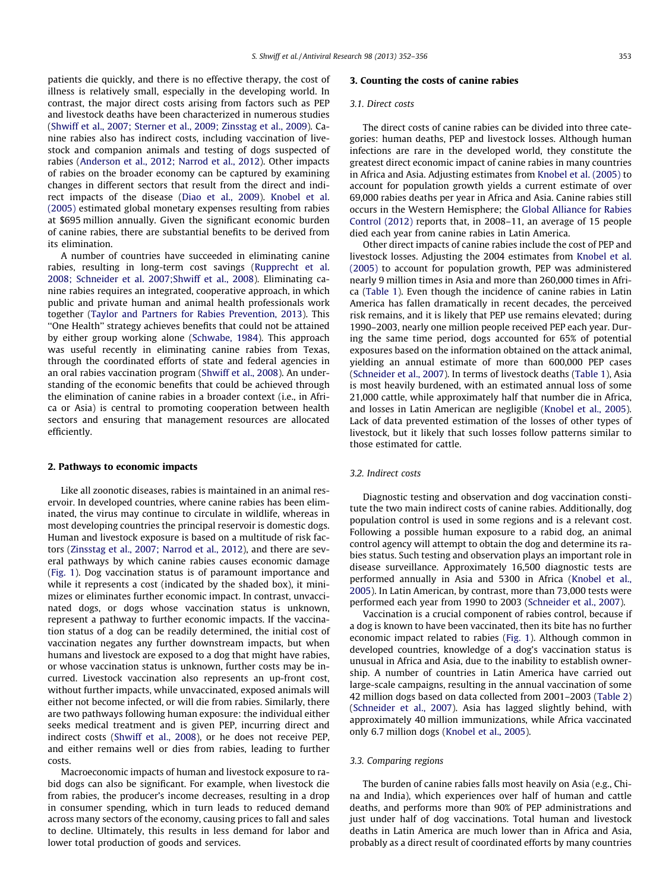patients die quickly, and there is no effective therapy, the cost of illness is relatively small, especially in the developing world. In contrast, the major direct costs arising from factors such as PEP and livestock deaths have been characterized in numerous studies ([Shwiff et al., 2007; Sterner et al., 2009; Zinsstag et al., 2009](#page-5-0) ). Canine rabies also has indirect costs, including vaccination of livestock and companion animals and testing of dogs suspected of rabies [\(Anderson et al., 2012; Narrod et al., 2012](#page-5-0) ). Other impacts of rabies on the broader economy can be captured by examining changes in different sectors that result from the direct and indirect impacts of the disease [\(Diao et al., 2009](#page-5-0) ). [Knobel et al.](#page-5-0) [\(2005\)](#page-5-0) estimated global monetary expenses resulting from rabies at \$695 million annually. Given the significant economic burden of canine rabies, there are substantial benefits to be derived from its elimination.

A number of countries have succeeded in eliminating canine rabies, resulting in long-term cost savings ([Rupprecht et al.](#page-5-0) [2008; Schneider et al. 2007;Shwiff et al., 2008](#page-5-0) ). Eliminating canine rabies requires an integrated, cooperative approach, in which public and private human and animal health professionals work together [\(Taylor and Partners for Rabies Prevention, 2013](#page-5-0) ). This ''One Health'' strategy achieves benefits that could not be attained by either group working alone (Schwabe, 1984). This approach was useful recently in eliminating canine rabies from Texas, through the coordinated efforts of state and federal agencies in an oral rabies vaccination program ([Shwiff et al., 2008 \)](#page-5-0). An understanding of the economic benefits that could be achieved through the elimination of canine rabies in a broader context (i.e., in Africa or Asia) is central to promoting cooperation between health sectors and ensuring that management resources are allocated efficiently.

#### 2. Pathways to economic impacts

Like all zoonotic diseases, rabies is maintained in an animal reservoir. In developed countries, where canine rabies has been eliminated, the virus may continue to circulate in wildlife, whereas in most developing countries the principal reservoir is domestic dogs. Human and livestock exposure is based on a multitude of risk factors ([Zinsstag et al., 2007; Narrod et al., 2012](#page-5-0) ), and there are several pathways by which canine rabies causes economic damage ([Fig. 1\)](#page-3-0). Dog vaccination status is of paramount importance and while it represents a cost (indicated by the shaded box), it minimizes or eliminates further economic impact. In contrast, unvaccinated dogs, or dogs whose vaccination status is unknown, represent a pathway to further economic impacts. If the vaccination status of a dog can be readily determined, the initial cost of vaccination negates any further downstream impacts, but when humans and livestock are exposed to a dog that might have rabies, or whose vaccination status is unknown, further costs may be incurred. Livestock vaccination also represents an up-front cost, without further impacts, while unvaccinated, exposed animals will either not become infected, or will die from rabies. Similarly, there are two pathways following human exposure: the individual either seeks medical treatment and is given PEP, incurring direct and indirect costs (Shwiff et al., 2008), or he does not receive PEP, and either remains well or dies from rabies, leading to further costs.

Macroeconomic impacts of human and livestock exposure to rabid dogs can also be significant. For example, when livestock die from rabies, the producer's income decreases, resulting in a drop in consumer spending, which in turn leads to reduced demand across many sectors of the economy, causing prices to fall and sales to decline. Ultimately, this results in less demand for labor and lower total production of goods and services.

#### 3. Counting the costs of canine rabies

#### 3.1. Direct costs

The direct costs of canine rabies can be divided into three categories: human deaths, PEP and livestock losses. Although human infections are rare in the developed world, they constitute the greatest direct economic impact of canine rabies in many countries in Africa and Asia. Adjusting estimates from [Knobel et al. \(2005\)](#page-5-0) to account for population growth yields a current estimate of over 69,000 rabies deaths per year in Africa and Asia. Canine rabies still occurs in the Western Hemisphere; the [Global Alliance for Rabies](#page-5-0)  [Control \(2012\)](#page-5-0) reports that, in 2008–11, an average of 15 people died each year from canine rabies in Latin America.

Other direct impacts of canine rabies include the cost of PEP and livestock losses. Adjusting the 2004 estimates from [Knobel et al.](#page-5-0) [\(2005\)](#page-5-0) to account for population growth, PEP was administered nearly 9 million times in Asia and more than 260,000 times in Africa ([Table 1](#page-3-0)). Even though the incidence of canine rabies in Latin America has fallen dramatically in recent decades, the perceived risk remains, and it is likely that PEP use remains elevated; during 1990–2003, nearly one million people received PEP each year. During the same time period, dogs accounted for 65% of potential exposures based on the information obtained on the attack animal. yielding an annual estimate of more than 600,000 PEP cases ([Schneider et al., 2007](#page-5-0) ). In terms of livestock deaths [\(Table 1\)](#page-3-0), Asia is most heavily burdened, with an estimated annual loss of some 21,000 cattle, while approximately half that number die in Africa, and losses in Latin American are negligible ([Knobel et al., 2005 \)](#page-5-0). Lack of data prevented estimation of the losses of other types of livestock, but it likely that such losses follow patterns similar to those estimated for cattle.

#### 3.2. Indirect costs

Diagnostic testing and observation and dog vaccination constitute the two main indirect costs of canine rabies. Additionally , dog population control is used in some regions and is a relevant cost. Following a possible human exposure to a rabid dog, an animal control agency will attempt to obtain the dog and determine its rabies status. Such testing and observation plays an important role in disease surveillance. Approximately 16,500 diagnostic tests are performed annually in Asia and 5300 in Africa [\(Knobel et al.,](#page-5-0) [2005](#page-5-0)). In Latin American, by contrast, more than 73,000 tests were performed each year from 1990 to 2003 [\(Schneider et al., 2007](#page-5-0) ).

Vaccination is a crucial component of rabies control, because if a dog is known to have been vaccinated, then its bite has no further economic impact related to rabies ([Fig. 1](#page-3-0)). Although common in developed countries, knowledge of a dog's vaccination status is unusual in Africa and Asia, due to the inability to establish ownership. A number of countries in Latin America have carried out large-scale campaigns, resulting in the annual vaccination of some 42 million dogs based on data collected from 2001–2003 [\(Table 2\)](#page-3-0) (Schneider et al., 2007). Asia has lagged slightly behind, with approximately 40 million immunizations, while Africa vaccinated only 6.7 million dogs [\(Knobel et al., 2005](#page-5-0) ).

#### 3.3. Comparing regions

The burden of canine rabies falls most heavily on Asia (e.g., China and India), which experiences over half of human and cattle deaths, and performs more than 90% of PEP administrations and just under half of dog vaccinations. Total human and livestock deaths in Latin America are much lower than in Africa and Asia, probably as a direct result of coordinated efforts by many countries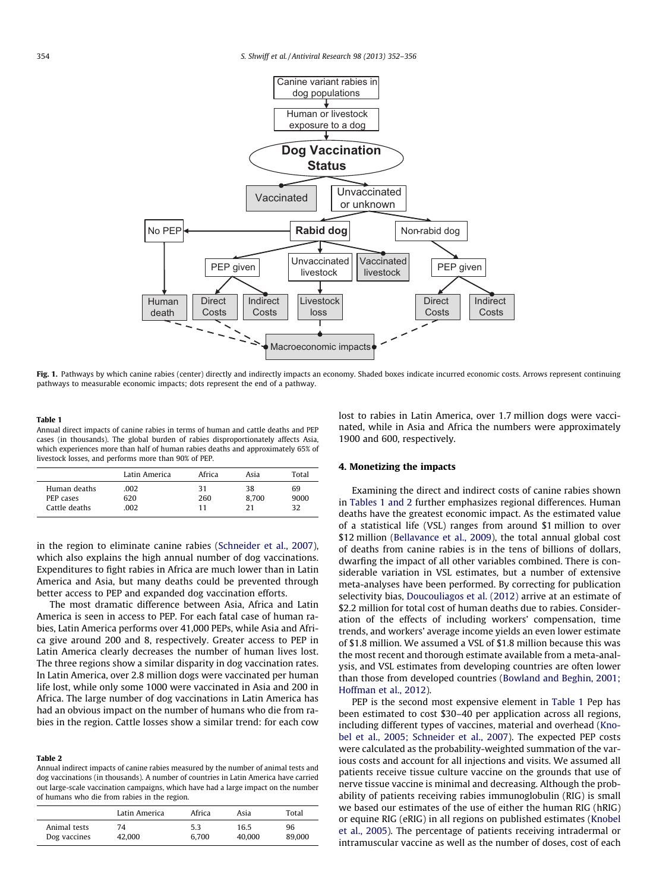<span id="page-3-0"></span>

Fig. 1. Pathways by which canine rabies (center) directly and indirectly impacts an economy. Shaded boxes indicate incurred economic costs. Arrows represent continuing pathways to measurable economic impacts; dots represent the end of a pathway.

#### Table 1

Annual direct impacts of canine rabies in terms of human and cattle deaths and PEP cases (in thousands). The global burden of rabies disproportionately affects Asia, which experiences more than half of human rabies deaths and approximately 65% of livestock losses, and performs more than 90% of PEP.

|               | Latin America | Africa | Asia  | Total |
|---------------|---------------|--------|-------|-------|
| Human deaths  | .002          | 31     | 38    | 69    |
| PEP cases     | 620           | 260    | 8.700 | 9000  |
| Cattle deaths | .002          | 11     | ר כ   | 32    |

in the region to eliminate canine rabies (Schneider et al., 2007), which also explains the high annual number of dog vaccinations. Expenditures to fight rabies in Africa are much lower than in Latin America and Asia, but many deaths could be prevented through better access to PEP and expanded dog vaccination efforts.

The most dramatic difference between Asia, Africa and Latin America is seen in access to PEP. For each fatal case of human rabies, Latin America performs over 41,000 PEPs, while Asia and Africa give around 200 and 8, respectively. Greater access to PEP in Latin America clearly decreases the number of human lives lost. The three regions show a similar disparity in dog vaccination rates. In Latin America, over 2.8 million dogs were vaccinated per human life lost, while only some 1000 were vaccinated in Asia and 200 in Africa. The large number of dog vaccinations in Latin America has had an obvious impact on the number of humans who die from rabies in the region. Cattle losses show a similar trend: for each cow

#### Table 2

Annual indirect impacts of canine rabies measured by the number of animal tests and dog vaccinations (in thousands). A number of countries in Latin America have carried out large-scale vaccination campaigns, which have had a large impact on the number of humans who die from rabies in the region.

|              | Latin America | Africa | Asia   | Total  |
|--------------|---------------|--------|--------|--------|
| Animal tests | 74            | 5.3    | 16.5   | 96     |
| Dog vaccines | 42.000        | 6.700  | 40,000 | 89,000 |

lost to rabies in Latin America, over 1.7 million dogs were vaccinated, while in Asia and Africa the numbers were approximately 1900 and 600, respectively.

#### 4. Monetizing the impacts

Examining the direct and indirect costs of canine rabies shown in Tables 1 and 2 further emphasizes regional differences. Human deaths have the greatest economic impact. As the estimated value of a statistical life (VSL) ranges from around \$1 million to over \$12 million ([Bellavance et al., 2009 \)](#page-5-0), the total annual global cost of deaths from canine rabies is in the tens of billions of dollars, dwarfing the impact of all other variables combined. There is considerable variation in VSL estimates, but a number of extensive meta-analyses have been performed. By correcting for publication selectivity bias, [Doucouliagos et al. \(2012\)](#page-5-0) arrive at an estimate of \$2.2 million for total cost of human deaths due to rabies. Consideration of the effects of including workers' compensation, time trends, and workers' average income yields an even lower estimate of \$1.8 million. We assumed a VSL of \$1.8 million because this was the most recent and thorough estimate available from a meta-analysis, and VSL estimates from developing countries are often lower than those from developed countries [\(Bowland and Beghin, 2001;](#page-5-0) [Hoffman et al., 2012](#page-5-0) ).

PEP is the second most expensive element in Table 1 Pep has been estimated to cost \$30-40 per application across all regions, including different types of vaccines, material and overhead ([Kno](#page-5-0)bel et al., 2005; Schneider et al., 2007). The expected PEP costs were calculated as the probability-weighted summation of the various costs and account for all injections and visits. We assumed all patients receive tissue culture vaccine on the grounds that use of nerve tissue vaccine is minimal and decreasing. Although the probability of patients receiving rabies immunoglobulin (RIG) is small we based our estimates of the use of either the human RIG (hRIG) or equine RIG (eRIG) in all regions on published estimates [\(Knobel](#page-5-0) [et al., 2005 \)](#page-5-0). The percentage of patients receiving intradermal or intramuscular vaccine as well as the number of doses, cost of each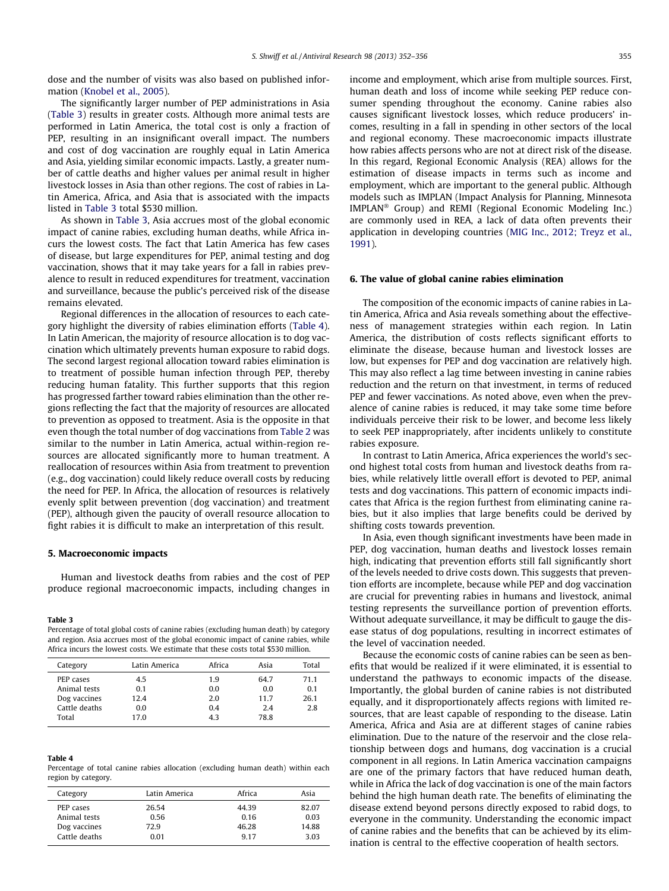dose and the number of visits was also based on published infor-mation [\(Knobel et al., 2005](#page-5-0)).

The significantly larger number of PEP administrations in Asia (Table 3) results in greater costs. Although more animal tests are performed in Latin America, the total cost is only a fraction of PEP, resulting in an insignificant overall impact. The numbers and cost of dog vaccination are roughly equal in Latin America and Asia, yielding similar economic impacts. Lastly, a greater number of cattle deaths and higher values per animal result in higher livestock losses in Asia than other regions. The cost of rabies in Latin America, Africa, and Asia that is associated with the impacts listed in Table 3 total \$530 million.

As shown in Table 3, Asia accrues most of the global economic impact of canine rabies, excluding human deaths, while Africa incurs the lowest costs. The fact that Latin America has few cases of disease, but large expenditures for PEP, animal testing and dog vaccination, shows that it may take years for a fall in rabies prevalence to result in reduced expenditures for treatment, vaccination and surveillance, because the public's perceived risk of the disease remains elevated.

Regional differences in the allocation of resources to each category highlight the diversity of rabies elimination efforts (Table 4). In Latin American, the majority of resource allocation is to dog vaccination which ultimately prevents human exposure to rabid dogs. The second largest regional allocation toward rabies elimination is to treatment of possible human infection through PEP, thereby reducing human fatality. This further supports that this region has progressed farther toward rabies elimination than the other regions reflecting the fact that the majority of resources are allocated to prevention as opposed to treatment. Asia is the opposite in that even though the total number of dog vaccinations from [Table 2](#page-3-0) was similar to the number in Latin America, actual within-region resources are allocated significantly more to human treatment. A reallocation of resources within Asia from treatment to prevention (e.g., dog vaccination) could likely reduce overall costs by reducing the need for PEP. In Africa, the allocation of resources is relatively evenly split between prevention (dog vaccination) and treatment (PEP), although given the paucity of overall resource allocation to fight rabies it is difficult to make an interpretation of this result.

#### 5. Macroeconomic impacts

Human and livestock deaths from rabies and the cost of PEP produce regional macroeconomic impacts, including changes in

#### Table 3

Percentage of total global costs of canine rabies (excluding human death) by category and region. Asia accrues most of the global economic impact of canine rabies, while Africa incurs the lowest costs. We estimate that these costs total \$530 million.

| Category      | Latin America | Africa | Asia | Total |
|---------------|---------------|--------|------|-------|
| PEP cases     | 4.5           | 1.9    | 64.7 | 71.1  |
| Animal tests  | 0.1           | 0.0    | 0.0  | 0.1   |
| Dog vaccines  | 12.4          | 2.0    | 11.7 | 26.1  |
| Cattle deaths | 0.0           | 0.4    | 2.4  | 2.8   |
| Total         | 17.0          | 4.3    | 78.8 |       |

#### Table 4

Percentage of total canine rabies allocation (excluding human death) within each region by category.

| Category      | Latin America | Africa | Asia  |
|---------------|---------------|--------|-------|
| PEP cases     | 26.54         | 44.39  | 82.07 |
| Animal tests  | 0.56          | 0.16   | 0.03  |
| Dog vaccines  | 72.9          | 46.28  | 14.88 |
| Cattle deaths | 0.01          | 917    | 3.03  |

income and employment, which arise from multiple sources. First, human death and loss of income while seeking PEP reduce consumer spending throughout the economy. Canine rabies also causes significant livestock losses, which reduce producers' incomes, resulting in a fall in spending in other sectors of the local and regional economy. These macroeconomic impacts illustrate how rabies affects persons who are not at direct risk of the disease. In this regard, Regional Economic Analysis (REA) allows for the estimation of disease impacts in terms such as income and employment, which are important to the general public. Although models such as IMPLAN (Impact Analysis for Planning, Minnesota IMPLAN<sup>®</sup> Group) and REMI (Regional Economic Modeling Inc.) are commonly used in REA, a lack of data often prevents their application in developing countries [\(MIG Inc., 2012; Treyz et al.,](#page-5-0) [1991\)](#page-5-0).

#### 6. The value of global canine rabies elimination

The composition of the economic impacts of canine rabies in Latin America, Africa and Asia reveals something about the effectiveness of management strategies within each region. In Latin America, the distribution of costs reflects significant efforts to eliminate the disease, because human and livestock losses are low, but expenses for PEP and dog vaccination are relatively high. This may also reflect a lag time between investing in canine rabies reduction and the return on that investment, in terms of reduced PEP and fewer vaccinations. As noted above, even when the prevalence of canine rabies is reduced, it may take some time before individuals perceive their risk to be lower, and become less likely to seek PEP inappropriately, after incidents unlikely to constitute rabies exposure.

In contrast to Latin America, Africa experiences the world's second highest total costs from human and livestock deaths from rabies, while relatively little overall effort is devoted to PEP, animal tests and dog vaccinations. This pattern of economic impacts indicates that Africa is the region furthest from eliminating canine rabies, but it also implies that large benefits could be derived by shifting costs towards prevention.

In Asia, even though significant investments have been made in PEP, dog vaccination, human deaths and livestock losses remain high, indicating that prevention efforts still fall significantly short of the levels needed to drive costs down. This suggests that prevention efforts are incomplete, because while PEP and dog vaccination are crucial for preventing rabies in humans and livestock, animal testing represents the surveillance portion of prevention efforts. Without adequate surveillance, it may be difficult to gauge the disease status of dog populations, resulting in incorrect estimates of the level of vaccination needed.

Because the economic costs of canine rabies can be seen as benefits that would be realized if it were eliminated, it is essential to understand the pathways to economic impacts of the disease. Importantly, the global burden of canine rabies is not distributed equally, and it disproportionately affects regions with limited resources, that are least capable of responding to the disease. Latin America, Africa and Asia are at different stages of canine rabies elimination. Due to the nature of the reservoir and the close relationship between dogs and humans, dog vaccination is a crucial component in all regions. In Latin America vaccination campaigns are one of the primary factors that have reduced human death, while in Africa the lack of dog vaccination is one of the main factors behind the high human death rate. The benefits of eliminating the disease extend beyond persons directly exposed to rabid dogs, to everyone in the community. Understanding the economic impact of canine rabies and the benefits that can be achieved by its elimination is central to the effective cooperation of health sectors.